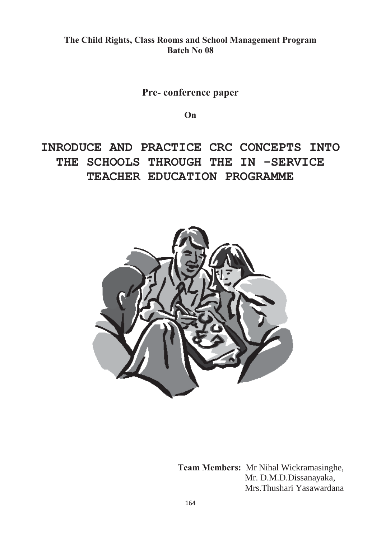#### The Child Rights, Class Rooms and School Management Program **Batch No 08**

# Pre-conference paper

**2Q**

# **INRODUCE AND PRACTICE CRC CONCEPTS INTO THE SCHOOLS THROUGH THE IN -SERVICE TEACHER EDUCATION PROGRAMME**



Team Members: Mr Nihal Wickramasinghe, Mr. D.M.D.Dissanayaka, Mrs.Thushari Yasawardana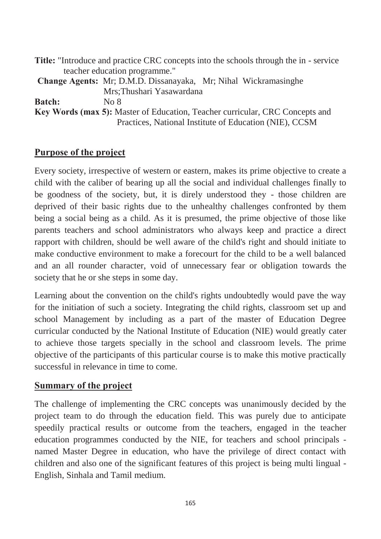| <b>Title:</b> "Introduce and practice CRC concepts into the schools through the in - service                                           |                                                                        |
|----------------------------------------------------------------------------------------------------------------------------------------|------------------------------------------------------------------------|
| teacher education programme."                                                                                                          |                                                                        |
|                                                                                                                                        | <b>Change Agents:</b> Mr; D.M.D. Dissanayaka, Mr; Nihal Wickramasinghe |
|                                                                                                                                        | Mrs; Thushari Yasawardana                                              |
| <b>Batch:</b>                                                                                                                          | No 8                                                                   |
| Key Words (max 5): Master of Education, Teacher curricular, CRC Concepts and<br>Practices, National Institute of Education (NIE), CCSM |                                                                        |

### **Purpose of the project**

Every society, irrespective of western or eastern, makes its prime objective to create a child with the caliber of bearing up all the social and individual challenges finally to be goodness of the society, but, it is direly understood they - those children are deprived of their basic rights due to the unhealthy challenges confronted by them being a social being as a child. As it is presumed, the prime objective of those like parents teachers and school administrators who always keep and practice a direct rapport with children, should be well aware of the child's right and should initiate to make conductive environment to make a forecourt for the child to be a well balanced and an all rounder character, void of unnecessary fear or obligation towards the society that he or she steps in some day.

Learning about the convention on the child's rights undoubtedly would pave the way for the initiation of such a society. Integrating the child rights, classroom set up and school Management by including as a part of the master of Education Degree curricular conducted by the National Institute of Education (NIE) would greatly cater to achieve those targets specially in the school and classroom levels. The prime objective of the participants of this particular course is to make this motive practically successful in relevance in time to come.

#### **<u>Summary of the project</u>**

The challenge of implementing the CRC concepts was unanimously decided by the project team to do through the education field. This was purely due to anticipate speedily practical results or outcome from the teachers, engaged in the teacher education programmes conducted by the NIE, for teachers and school principals named Master Degree in education, who have the privilege of direct contact with children and also one of the significant features of this project is being multi lingual - English, Sinhala and Tamil medium.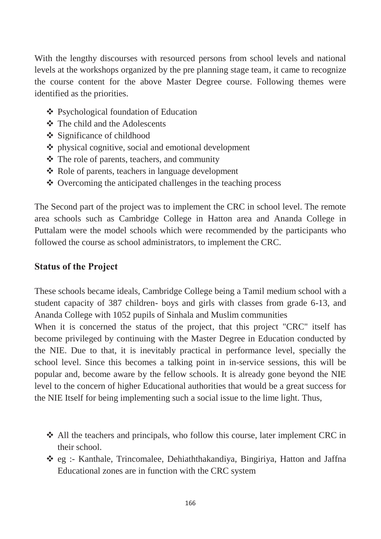With the lengthy discourses with resourced persons from school levels and national levels at the workshops organized by the pre planning stage team, it came to recognize the course content for the above Master Degree course. Following themes were identified as the priorities.

- Psychological foundation of Education
- The child and the Adolescents
- **❖** Significance of childhood
- physical cognitive, social and emotional development
- The role of parents, teachers, and community
- Role of parents, teachers in language development
- $\triangle$  Overcoming the anticipated challenges in the teaching process

The Second part of the project was to implement the CRC in school level. The remote area schools such as Cambridge College in Hatton area and Ananda College in Puttalam were the model schools which were recommended by the participants who followed the course as school administrators, to implement the CRC.

#### **Status of the Project**

These schools became ideals, Cambridge College being a Tamil medium school with a student capacity of 387 children- boys and girls with classes from grade 6-13, and Ananda College with 1052 pupils of Sinhala and Muslim communities

When it is concerned the status of the project, that this project "CRC" itself has become privileged by continuing with the Master Degree in Education conducted by the NIE. Due to that, it is inevitably practical in performance level, specially the school level. Since this becomes a talking point in in-service sessions, this will be popular and, become aware by the fellow schools. It is already gone beyond the NIE level to the concern of higher Educational authorities that would be a great success for the NIE Itself for being implementing such a social issue to the lime light. Thus,

- All the teachers and principals, who follow this course, later implement CRC in their school.
- eg :- Kanthale, Trincomalee, Dehiaththakandiya, Bingiriya, Hatton and Jaffna Educational zones are in function with the CRC system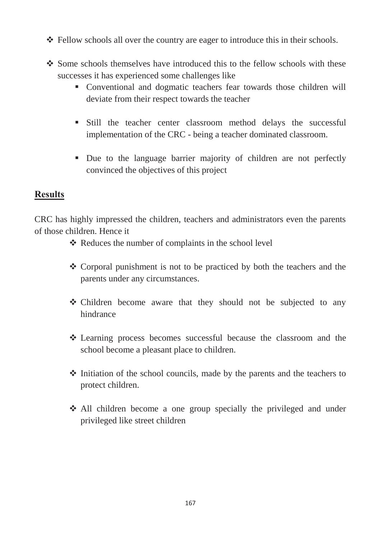- Fellow schools all over the country are eager to introduce this in their schools.
- \* Some schools themselves have introduced this to the fellow schools with these successes it has experienced some challenges like
	- Conventional and dogmatic teachers fear towards those children will deviate from their respect towards the teacher
	- Still the teacher center classroom method delays the successful implementation of the CRC - being a teacher dominated classroom.
	- Due to the language barrier majority of children are not perfectly convinced the objectives of this project

## **Results**

CRC has highly impressed the children, teachers and administrators even the parents of those children. Hence it

- \* Reduces the number of complaints in the school level
- Corporal punishment is not to be practiced by both the teachers and the parents under any circumstances.
- Children become aware that they should not be subjected to any hindrance
- Learning process becomes successful because the classroom and the school become a pleasant place to children.
- $\triangle$  Initiation of the school councils, made by the parents and the teachers to protect children.
- All children become a one group specially the privileged and under privileged like street children